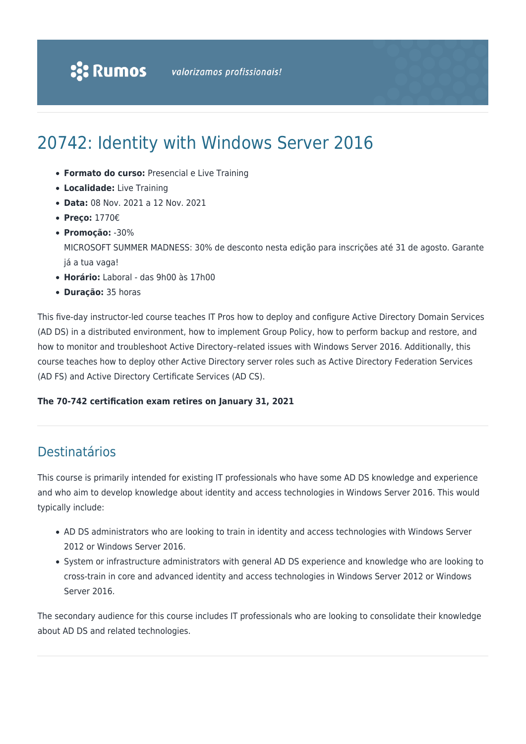# 20742: Identity with Windows Server 2016

- **Formato do curso:** Presencial e Live Training
- **Localidade:** Live Training
- **Data:** 08 Nov. 2021 a 12 Nov. 2021
- **Preço:** 1770€
- **Promoção:** -30%

MICROSOFT SUMMER MADNESS: 30% de desconto nesta edição para inscrições até 31 de agosto. Garante já a tua vaga!

- **Horário:** Laboral das 9h00 às 17h00
- **Duração:** 35 horas

This five-day instructor-led course teaches IT Pros how to deploy and configure Active Directory Domain Services (AD DS) in a distributed environment, how to implement Group Policy, how to perform backup and restore, and how to monitor and troubleshoot Active Directory–related issues with Windows Server 2016. Additionally, this course teaches how to deploy other Active Directory server roles such as Active Directory Federation Services (AD FS) and Active Directory Certificate Services (AD CS).

### **The 70-742 certification exam retires on January 31, 2021**

### Destinatários

This course is primarily intended for existing IT professionals who have some AD DS knowledge and experience and who aim to develop knowledge about identity and access technologies in Windows Server 2016. This would typically include:

- AD DS administrators who are looking to train in identity and access technologies with Windows Server 2012 or Windows Server 2016.
- System or infrastructure administrators with general AD DS experience and knowledge who are looking to cross-train in core and advanced identity and access technologies in Windows Server 2012 or Windows Server 2016.

The secondary audience for this course includes IT professionals who are looking to consolidate their knowledge about AD DS and related technologies.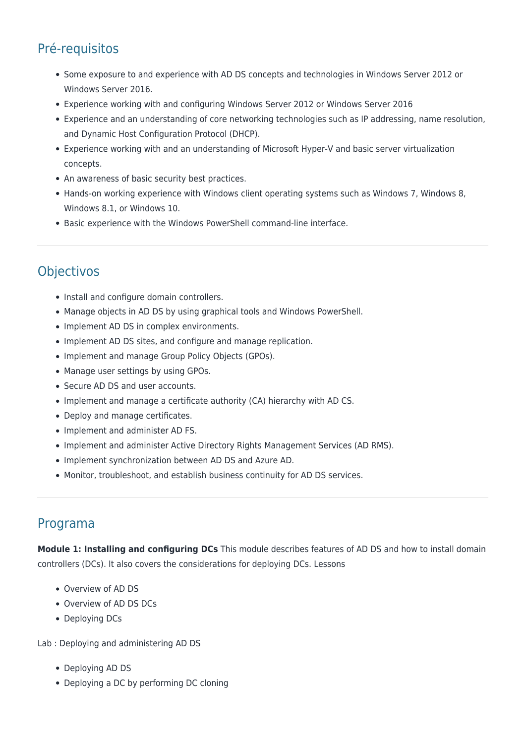## Pré-requisitos

- Some exposure to and experience with AD DS concepts and technologies in Windows Server 2012 or Windows Server 2016.
- Experience working with and configuring Windows Server 2012 or Windows Server 2016
- Experience and an understanding of core networking technologies such as IP addressing, name resolution, and Dynamic Host Configuration Protocol (DHCP).
- Experience working with and an understanding of Microsoft Hyper-V and basic server virtualization concepts.
- An awareness of basic security best practices.
- Hands-on working experience with Windows client operating systems such as Windows 7, Windows 8, Windows 8.1, or Windows 10.
- Basic experience with the Windows PowerShell command-line interface.

### **Objectivos**

- Install and configure domain controllers.
- Manage objects in AD DS by using graphical tools and Windows PowerShell.
- Implement AD DS in complex environments.
- Implement AD DS sites, and configure and manage replication.
- Implement and manage Group Policy Objects (GPOs).
- Manage user settings by using GPOs.
- Secure AD DS and user accounts.
- Implement and manage a certificate authority (CA) hierarchy with AD CS.
- Deploy and manage certificates.
- Implement and administer AD FS.
- Implement and administer Active Directory Rights Management Services (AD RMS).
- Implement synchronization between AD DS and Azure AD.
- Monitor, troubleshoot, and establish business continuity for AD DS services.

### Programa

**Module 1: Installing and configuring DCs** This module describes features of AD DS and how to install domain controllers (DCs). It also covers the considerations for deploying DCs. Lessons

- Overview of AD DS
- Overview of AD DS DCs
- Deploying DCs

Lab : Deploying and administering AD DS

- Deploying AD DS
- Deploying a DC by performing DC cloning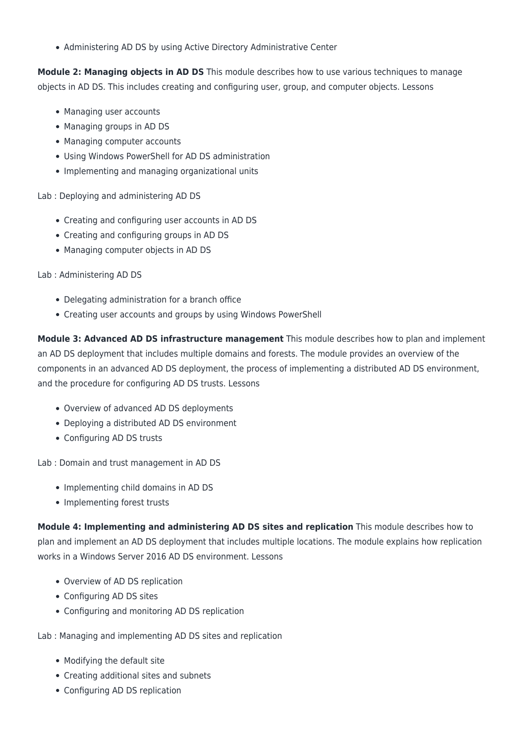• Administering AD DS by using Active Directory Administrative Center

**Module 2: Managing objects in AD DS** This module describes how to use various techniques to manage objects in AD DS. This includes creating and configuring user, group, and computer objects. Lessons

- Managing user accounts
- Managing groups in AD DS
- Managing computer accounts
- Using Windows PowerShell for AD DS administration
- Implementing and managing organizational units

Lab : Deploying and administering AD DS

- Creating and configuring user accounts in AD DS
- Creating and configuring groups in AD DS
- Managing computer objects in AD DS

Lab : Administering AD DS

- Delegating administration for a branch office
- Creating user accounts and groups by using Windows PowerShell

**Module 3: Advanced AD DS infrastructure management** This module describes how to plan and implement an AD DS deployment that includes multiple domains and forests. The module provides an overview of the components in an advanced AD DS deployment, the process of implementing a distributed AD DS environment, and the procedure for configuring AD DS trusts. Lessons

- Overview of advanced AD DS deployments
- Deploying a distributed AD DS environment
- Configuring AD DS trusts

Lab : Domain and trust management in AD DS

- Implementing child domains in AD DS
- Implementing forest trusts

**Module 4: Implementing and administering AD DS sites and replication** This module describes how to plan and implement an AD DS deployment that includes multiple locations. The module explains how replication works in a Windows Server 2016 AD DS environment. Lessons

- Overview of AD DS replication
- Configuring AD DS sites
- Configuring and monitoring AD DS replication

Lab : Managing and implementing AD DS sites and replication

- Modifying the default site
- Creating additional sites and subnets
- Configuring AD DS replication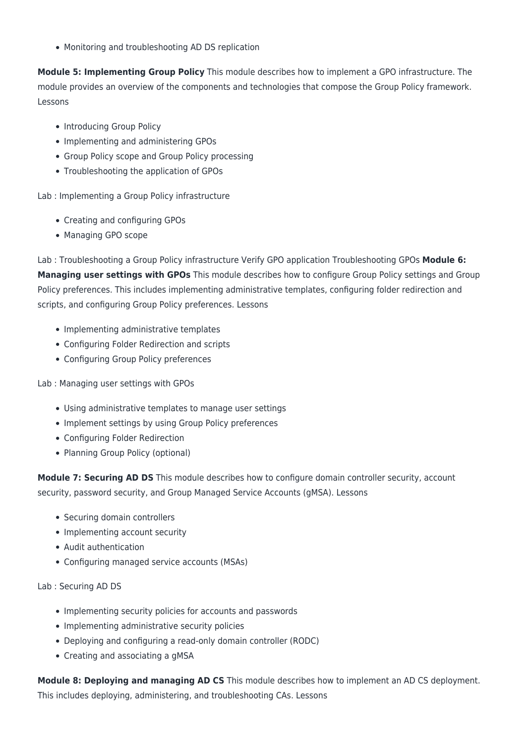Monitoring and troubleshooting AD DS replication

**Module 5: Implementing Group Policy** This module describes how to implement a GPO infrastructure. The module provides an overview of the components and technologies that compose the Group Policy framework. Lessons

- Introducing Group Policy
- Implementing and administering GPOs
- Group Policy scope and Group Policy processing
- Troubleshooting the application of GPOs

Lab : Implementing a Group Policy infrastructure

- Creating and configuring GPOs
- Managing GPO scope

Lab : Troubleshooting a Group Policy infrastructure Verify GPO application Troubleshooting GPOs **Module 6: Managing user settings with GPOs** This module describes how to configure Group Policy settings and Group Policy preferences. This includes implementing administrative templates, configuring folder redirection and scripts, and configuring Group Policy preferences. Lessons

- Implementing administrative templates
- Configuring Folder Redirection and scripts
- Configuring Group Policy preferences

### Lab : Managing user settings with GPOs

- Using administrative templates to manage user settings
- Implement settings by using Group Policy preferences
- Configuring Folder Redirection
- Planning Group Policy (optional)

**Module 7: Securing AD DS** This module describes how to configure domain controller security, account security, password security, and Group Managed Service Accounts (gMSA). Lessons

- Securing domain controllers
- Implementing account security
- Audit authentication
- Configuring managed service accounts (MSAs)

### Lab : Securing AD DS

- Implementing security policies for accounts and passwords
- Implementing administrative security policies
- Deploying and configuring a read-only domain controller (RODC)
- Creating and associating a gMSA

**Module 8: Deploying and managing AD CS** This module describes how to implement an AD CS deployment. This includes deploying, administering, and troubleshooting CAs. Lessons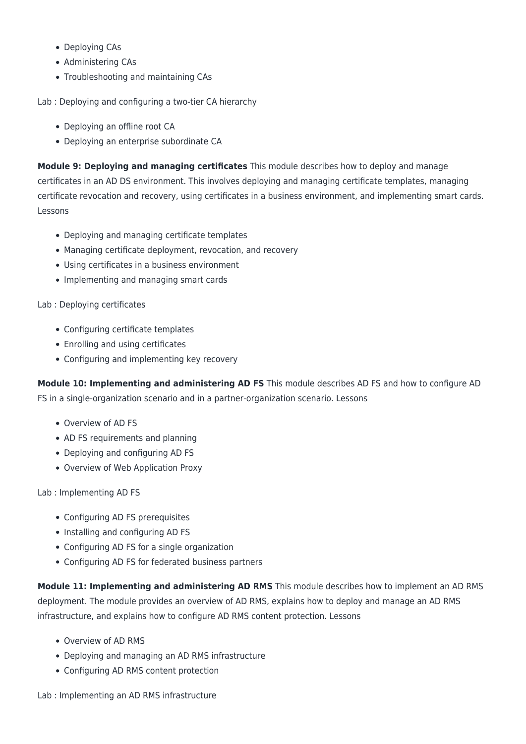- Deploying CAs
- Administering CAs
- Troubleshooting and maintaining CAs

Lab : Deploying and configuring a two-tier CA hierarchy

- Deploying an offline root CA
- Deploying an enterprise subordinate CA

**Module 9: Deploying and managing certificates** This module describes how to deploy and manage certificates in an AD DS environment. This involves deploying and managing certificate templates, managing certificate revocation and recovery, using certificates in a business environment, and implementing smart cards. Lessons

- Deploying and managing certificate templates
- Managing certificate deployment, revocation, and recovery
- Using certificates in a business environment
- Implementing and managing smart cards

### Lab : Deploying certificates

- Configuring certificate templates
- Enrolling and using certificates
- Configuring and implementing key recovery

**Module 10: Implementing and administering AD FS** This module describes AD FS and how to configure AD FS in a single-organization scenario and in a partner-organization scenario. Lessons

- Overview of AD FS
- AD FS requirements and planning
- Deploying and configuring AD FS
- Overview of Web Application Proxy

Lab : Implementing AD FS

- Configuring AD FS prerequisites
- Installing and configuring AD FS
- Configuring AD FS for a single organization
- Configuring AD FS for federated business partners

**Module 11: Implementing and administering AD RMS** This module describes how to implement an AD RMS deployment. The module provides an overview of AD RMS, explains how to deploy and manage an AD RMS infrastructure, and explains how to configure AD RMS content protection. Lessons

- Overview of AD RMS
- Deploying and managing an AD RMS infrastructure
- Configuring AD RMS content protection